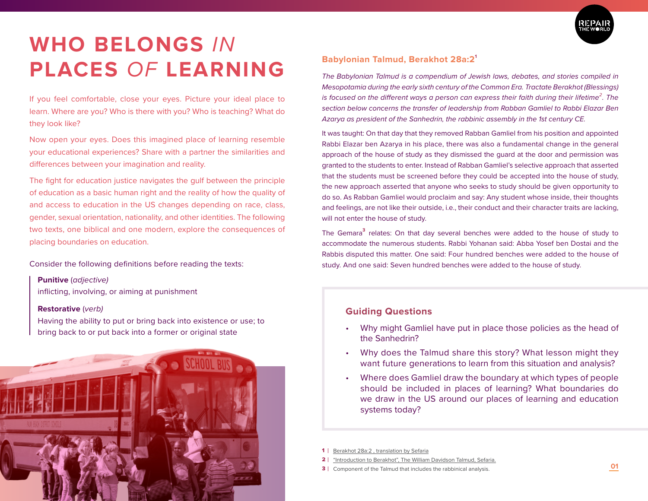

# **WHO BELONGS** *IN* **PLACES** *OF* **LEARNING**

If you feel comfortable, close your eyes. Picture your ideal place to learn. Where are you? Who is there with you? Who is teaching? What do they look like?

Now open your eyes. Does this imagined place of learning resemble your educational experiences? Share with a partner the similarities and differences between your imagination and reality.

The fight for education justice navigates the gulf between the principle of education as a basic human right and the reality of how the quality of and access to education in the US changes depending on race, class, gender, sexual orientation, nationality, and other identities. The following two texts, one biblical and one modern, explore the consequences of placing boundaries on education.

Consider the following definitions before reading the texts:

### **Punitive** (*adjective)*

inflicting, involving, or aiming at punishment

#### **Restorative** (*verb)*

Having the ability to put or bring back into existence or use; to bring back to or put back into a former or original state



# **Babylonian Talmud, Berakhot 28a:2<sup>1</sup>**

*The Babylonian Talmud is a compendium of Jewish laws, debates, and stories compiled in Mesopotamia during the early sixth century of the Common Era. Tractate Berakhot (Blessings) is focused on the different ways a person can express their faith during their lifetime<sup>2</sup> . The section below concerns the transfer of leadership from Rabban Gamliel to Rabbi Elazar Ben Azarya as president of the Sanhedrin, the rabbinic assembly in the 1st century CE.* 

It was taught: On that day that they removed Rabban Gamliel from his position and appointed Rabbi Elazar ben Azarya in his place, there was also a fundamental change in the general approach of the house of study as they dismissed the guard at the door and permission was granted to the students to enter. Instead of Rabban Gamliel's selective approach that asserted that the students must be screened before they could be accepted into the house of study, the new approach asserted that anyone who seeks to study should be given opportunity to do so. As Rabban Gamliel would proclaim and say: Any student whose inside, their thoughts and feelings, are not like their outside, i.e., their conduct and their character traits are lacking, will not enter the house of study.

The Gemara<sup>3</sup> relates: On that day several benches were added to the house of study to accommodate the numerous students. Rabbi Yohanan said: Abba Yosef ben Dostai and the Rabbis disputed this matter. One said: Four hundred benches were added to the house of study. And one said: Seven hundred benches were added to the house of study.

# **Guiding Questions**

- Why might Gamliel have put in place those policies as the head of the Sanhedrin?
- Why does the Talmud share this story? What lesson might they want future generations to learn from this situation and analysis?
- Where does Gamliel draw the boundary at which types of people should be included in places of learning? What boundaries do we draw in the US around our places of learning and education systems today?

- $2<sub>1</sub>$ "Introduction to Berakhot", The William Davidson Talmud, Sefaria.
- **3** Component of the Talmud that includes the rabbinical analysis.

<sup>1</sup> Berakhot 28a:2 , translation by Sefaria